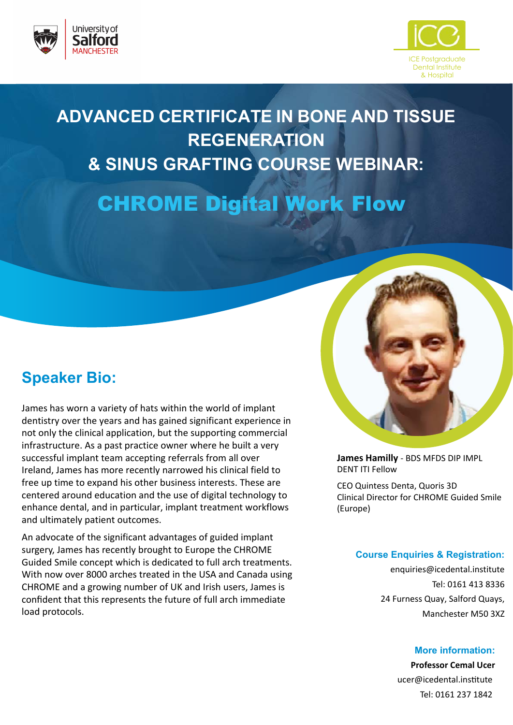



## **ADVANCED CERTIFICATE IN BONE AND TISSUE REGENERATION & SINUS GRAFTING COURSE WEBINAR:**

CHROME Digital Work Flow

### **Speaker Bio:**

James has worn a variety of hats within the world of implant dentistry over the years and has gained significant experience in not only the clinical application, but the supporting commercial infrastructure. As a past practice owner where he built a very successful implant team accepting referrals from all over Ireland, James has more recently narrowed his clinical field to free up time to expand his other business interests. These are centered around education and the use of digital technology to enhance dental, and in particular, implant treatment workflows and ultimately patient outcomes.

An advocate of the significant advantages of guided implant surgery, James has recently brought to Europe the CHROME Guided Smile concept which is dedicated to full arch treatments. With now over 8000 arches treated in the USA and Canada using CHROME and a growing number of UK and Irish users, James is confident that this represents the future of full arch immediate load protocols.



**James Hamilly** - BDS MFDS DIP IMPL DENT ITI Fellow

CEO Quintess Denta, Quoris 3D Clinical Director for CHROME Guided Smile (Europe)

#### **Course Enquiries & Registration:**

enquiries@icedental.institute Tel: 0161 413 8336 24 Furness Quay, Salford Quays, Manchester M50 3XZ

#### **More information:**

**Professor Cemal Ucer** 

ucer@icedental.institute Tel: 0161 237 1842